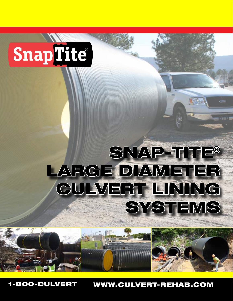# SnapTite®

## SNAP-TITE® LARGE DIAMETER GULVERT LINING **SYSTEMS**



1-800-CULVERT www.culvert-rehab.com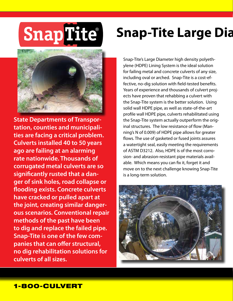## **SnapTite®**

**State Departments of Transportation, counties and municipalities are facing a critical problem. Culverts installed 40 to 50 years ago are failing at an alarming rate nationwide. Thousands of corrugated metal culverts are so significantly rusted that a danger of sink holes, road collapse or flooding exists. Concrete culverts have cracked or pulled apart at the joint, creating similar dangerous scenarios. Conventional repair methods of the past have been to dig and replace the failed pipe. Snap-Tite is one of the few companies that can offer structural, no dig rehabilitation solutions for culverts of all sizes.**

### **Snap-Tite Large Dia**

Snap-Tite's Large Diameter high density polyethylene (HDPE) Lining System is the ideal solution for failing metal and concrete culverts of any size, including oval or arched. Snap-Tite is a cost-effective, no-dig solution with field-tested benefits. Years of experience and thousands of culvert projects have proven that rehabbing a culvert with the Snap-Tite system is the better solution. Using solid wall HDPE pipe, as well as state-of-the-art profile wall HDPE pipe, culverts rehabilitated using the Snap-Tite system actually outperform the original structures. The low resistance of flow (Manning's N of 0.009) of HDPE pipe allows for greater flows. The use of gasketed or fused joints assures a watertight seal, easily meeting the requirements of ASTM D3212. Also, HDPE is of the most corrosion- and abrasion-resistant pipe materials available. Which means you can fix it, forget it and move on to the next challenge knowing Snap-Tite is a long-term solution.

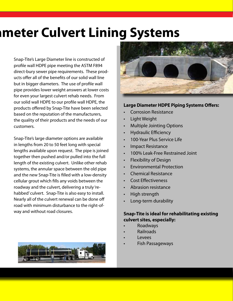### **Snap-Big-Title Culvert Lining Systems**

Snap-Tite's Large Diameter line is constructed of profile wall HDPE pipe meeting the ASTM F894 direct-bury sewer pipe requirements. These products offer all of the benefits of our solid wall line but in bigger diameters. The use of profile wall pipe provides lower weight answers at lower costs for even your largest culvert rehab needs. From our solid wall HDPE to our profile wall HDPE, the products offered by Snap-Tite have been selected based on the reputation of the manufacturers, the quality of their products and the needs of our customers.

Snap-Tite's large diameter options are available in lengths from 20 to 50 feet long with special lengths available upon request. The pipe is joined together then pushed and/or pulled into the full length of the existing culvert. Unlike other rehab systems, the annular space between the old pipe and the new Snap-Tite is filled with a low-density cellular grout which fills any voids between the roadway and the culvert, delivering a truly 'rehabbed' culvert. Snap-Tite is also easy to install. Nearly all of the culvert renewal can be done off road with minimum disturbance to the right-ofway and without road closures.





#### **Large Diameter HDPE Piping Systems Offers:**

- **Corrosion Resistance**
- **Light Weight**
- **Multiple Jointing Options**
- **Hydraulic Efficiency**
- 100-Year Plus Service Life
- **Impact Resistance**
- 100% Leak-Free Restrained Joint
- **Flexibility of Design**
- **Environmental Protection**
- **Chemical Resistance**
- **Cost Effectiveness**
- Abrasion resistance
- **High strength**
- Long-term durability

#### **Snap-Tite is ideal for rehabilitating existing culvert sites, especially:**

- **Roadways**
- Railroads
- Levees
- **Fish Passageways**